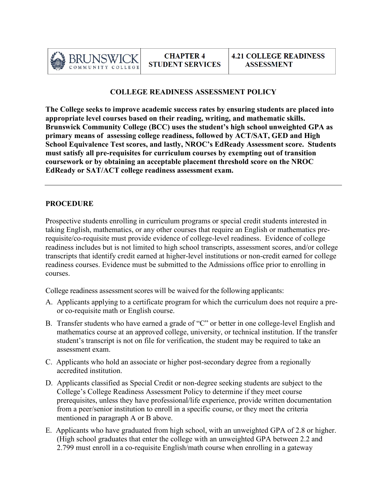

## **COLLEGE READINESS ASSESSMENT POLICY**

**The College seeks to improve academic success rates by ensuring students are placed into appropriate level courses based on their reading, writing, and mathematic skills. Brunswick Community College (BCC) uses the student's high school unweighted GPA as primary means of assessing college readiness, followed by ACT/SAT, GED and High School Equivalence Test scores, and lastly, NROC's EdReady Assessment score. Students must satisfy all pre-requisites for curriculum courses by exempting out of transition coursework or by obtaining an acceptable placement threshold score on the NROC EdReady or SAT/ACT college readiness assessment exam.**

## **PROCEDURE**

Prospective students enrolling in curriculum programs or special credit students interested in taking English, mathematics, or any other courses that require an English or mathematics prerequisite/co-requisite must provide evidence of college-level readiness. Evidence of college readiness includes but is not limited to high school transcripts, assessment scores, and/or college transcripts that identify credit earned at higher-level institutions or non-credit earned for college readiness courses. Evidence must be submitted to the Admissions office prior to enrolling in courses.

College readiness assessment scores will be waived for the following applicants:

- A. Applicants applying to a certificate program for which the curriculum does not require a preor co-requisite math or English course.
- B. Transfer students who have earned a grade of "C" or better in one college-level English and mathematics course at an approved college, university, or technical institution. If the transfer student's transcript is not on file for verification, the student may be required to take an assessment exam.
- C. Applicants who hold an associate or higher post-secondary degree from a regionally accredited institution.
- D. Applicants classified as Special Credit or non-degree seeking students are subject to the College's College Readiness Assessment Policy to determine if they meet course prerequisites, unless they have professional/life experience, provide written documentation from a peer/senior institution to enroll in a specific course, or they meet the criteria mentioned in paragraph A or B above.
- E. Applicants who have graduated from high school, with an unweighted GPA of 2.8 or higher. (High school graduates that enter the college with an unweighted GPA between 2.2 and 2.799 must enroll in a co-requisite English/math course when enrolling in a gateway